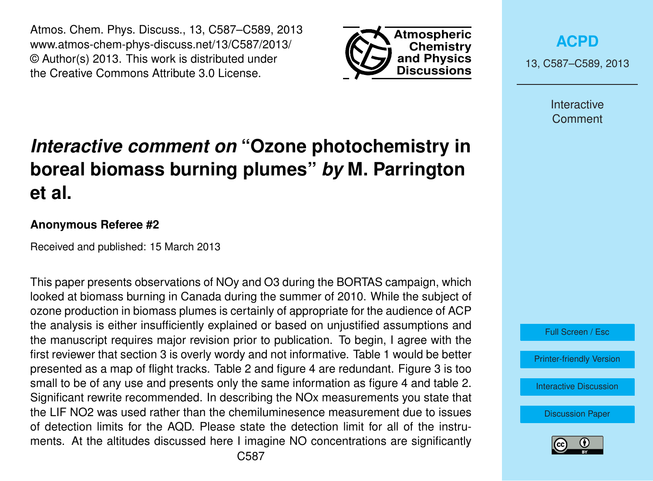Atmos. Chem. Phys. Discuss., 13, C587–C589, 2013 www.atmos-chem-phys-discuss.net/13/C587/2013/ © Author(s) 2013. This work is distributed under the Creative Commons Attribute 3.0 License.



**[ACPD](http://www.atmos-chem-phys-discuss.net)**

13, C587–C589, 2013

Interactive **Comment** 

Full Screen / Esc

[Printer-friendly Version](http://www.atmos-chem-phys-discuss.net/13/C587/2013/acpd-13-C587-2013-print.pdf)

[Interactive Discussion](http://www.atmos-chem-phys-discuss.net/13/1795/2013/acpd-13-1795-2013-discussion.html)

[Discussion Paper](http://www.atmos-chem-phys-discuss.net/13/1795/2013/acpd-13-1795-2013.pdf)



## *Interactive comment on* **"Ozone photochemistry in boreal biomass burning plumes"** *by* **M. Parrington et al.**

## **Anonymous Referee #2**

Received and published: 15 March 2013

This paper presents observations of NOy and O3 during the BORTAS campaign, which looked at biomass burning in Canada during the summer of 2010. While the subject of ozone production in biomass plumes is certainly of appropriate for the audience of ACP the analysis is either insufficiently explained or based on unjustified assumptions and the manuscript requires major revision prior to publication. To begin, I agree with the first reviewer that section 3 is overly wordy and not informative. Table 1 would be better presented as a map of flight tracks. Table 2 and figure 4 are redundant. Figure 3 is too small to be of any use and presents only the same information as figure 4 and table 2. Significant rewrite recommended. In describing the NOx measurements you state that the LIF NO2 was used rather than the chemiluminesence measurement due to issues of detection limits for the AQD. Please state the detection limit for all of the instruments. At the altitudes discussed here I imagine NO concentrations are significantly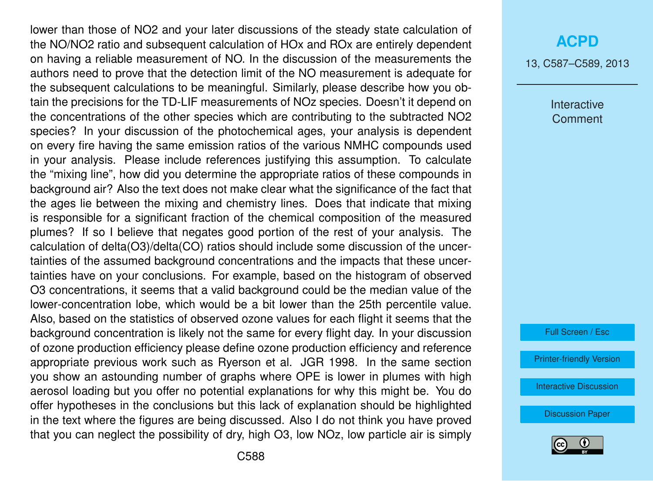lower than those of NO2 and your later discussions of the steady state calculation of the NO/NO2 ratio and subsequent calculation of HOx and ROx are entirely dependent on having a reliable measurement of NO. In the discussion of the measurements the authors need to prove that the detection limit of the NO measurement is adequate for the subsequent calculations to be meaningful. Similarly, please describe how you obtain the precisions for the TD-LIF measurements of NOz species. Doesn't it depend on the concentrations of the other species which are contributing to the subtracted NO2 species? In your discussion of the photochemical ages, your analysis is dependent on every fire having the same emission ratios of the various NMHC compounds used in your analysis. Please include references justifying this assumption. To calculate the "mixing line", how did you determine the appropriate ratios of these compounds in background air? Also the text does not make clear what the significance of the fact that the ages lie between the mixing and chemistry lines. Does that indicate that mixing is responsible for a significant fraction of the chemical composition of the measured plumes? If so I believe that negates good portion of the rest of your analysis. The calculation of delta(O3)/delta(CO) ratios should include some discussion of the uncertainties of the assumed background concentrations and the impacts that these uncertainties have on your conclusions. For example, based on the histogram of observed O3 concentrations, it seems that a valid background could be the median value of the lower-concentration lobe, which would be a bit lower than the 25th percentile value. Also, based on the statistics of observed ozone values for each flight it seems that the background concentration is likely not the same for every flight day. In your discussion of ozone production efficiency please define ozone production efficiency and reference appropriate previous work such as Ryerson et al. JGR 1998. In the same section you show an astounding number of graphs where OPE is lower in plumes with high aerosol loading but you offer no potential explanations for why this might be. You do offer hypotheses in the conclusions but this lack of explanation should be highlighted in the text where the figures are being discussed. Also I do not think you have proved that you can neglect the possibility of dry, high O3, low NOz, low particle air is simply

13, C587–C589, 2013

Interactive **Comment** 

Full Screen / Esc

[Printer-friendly Version](http://www.atmos-chem-phys-discuss.net/13/C587/2013/acpd-13-C587-2013-print.pdf)

[Interactive Discussion](http://www.atmos-chem-phys-discuss.net/13/1795/2013/acpd-13-1795-2013-discussion.html)

[Discussion Paper](http://www.atmos-chem-phys-discuss.net/13/1795/2013/acpd-13-1795-2013.pdf)